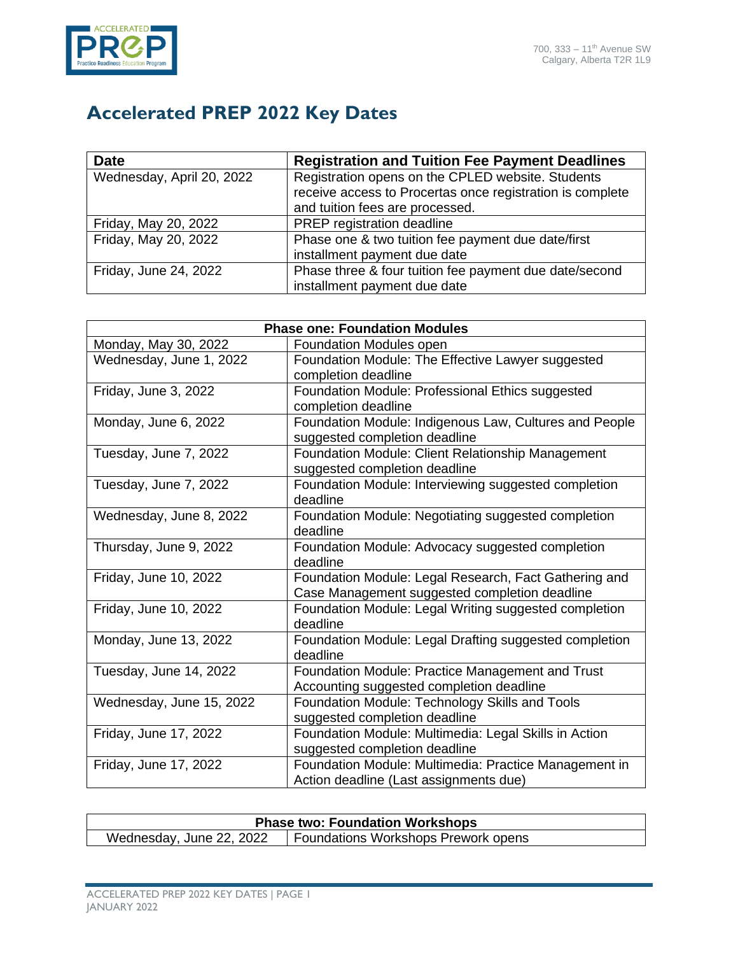

## **Accelerated PREP 2022 Key Dates**

| <b>Date</b>               | <b>Registration and Tuition Fee Payment Deadlines</b>     |
|---------------------------|-----------------------------------------------------------|
| Wednesday, April 20, 2022 | Registration opens on the CPLED website. Students         |
|                           | receive access to Procertas once registration is complete |
|                           | and tuition fees are processed.                           |
| Friday, May 20, 2022      | PREP registration deadline                                |
| Friday, May 20, 2022      | Phase one & two tuition fee payment due date/first        |
|                           | installment payment due date                              |
| Friday, June 24, 2022     | Phase three & four tuition fee payment due date/second    |
|                           | installment payment due date                              |

| <b>Phase one: Foundation Modules</b> |                                                        |  |
|--------------------------------------|--------------------------------------------------------|--|
| Monday, May 30, 2022                 | <b>Foundation Modules open</b>                         |  |
| Wednesday, June 1, 2022              | Foundation Module: The Effective Lawyer suggested      |  |
|                                      | completion deadline                                    |  |
| Friday, June 3, 2022                 | Foundation Module: Professional Ethics suggested       |  |
|                                      | completion deadline                                    |  |
| Monday, June 6, 2022                 | Foundation Module: Indigenous Law, Cultures and People |  |
|                                      | suggested completion deadline                          |  |
| Tuesday, June 7, 2022                | Foundation Module: Client Relationship Management      |  |
|                                      | suggested completion deadline                          |  |
| Tuesday, June 7, 2022                | Foundation Module: Interviewing suggested completion   |  |
|                                      | deadline                                               |  |
| Wednesday, June 8, 2022              | Foundation Module: Negotiating suggested completion    |  |
|                                      | deadline                                               |  |
| Thursday, June 9, 2022               | Foundation Module: Advocacy suggested completion       |  |
|                                      | deadline                                               |  |
| Friday, June 10, 2022                | Foundation Module: Legal Research, Fact Gathering and  |  |
|                                      | Case Management suggested completion deadline          |  |
| Friday, June 10, 2022                | Foundation Module: Legal Writing suggested completion  |  |
|                                      | deadline                                               |  |
| Monday, June 13, 2022                | Foundation Module: Legal Drafting suggested completion |  |
|                                      | deadline                                               |  |
| Tuesday, June 14, 2022               | Foundation Module: Practice Management and Trust       |  |
|                                      | Accounting suggested completion deadline               |  |
| Wednesday, June 15, 2022             | Foundation Module: Technology Skills and Tools         |  |
|                                      | suggested completion deadline                          |  |
| Friday, June 17, 2022                | Foundation Module: Multimedia: Legal Skills in Action  |  |
|                                      | suggested completion deadline                          |  |
| Friday, June 17, 2022                | Foundation Module: Multimedia: Practice Management in  |  |
|                                      | Action deadline (Last assignments due)                 |  |

| <b>Phase two: Foundation Workshops</b> |                                     |
|----------------------------------------|-------------------------------------|
| Wednesday, June 22, 2022               | Foundations Workshops Prework opens |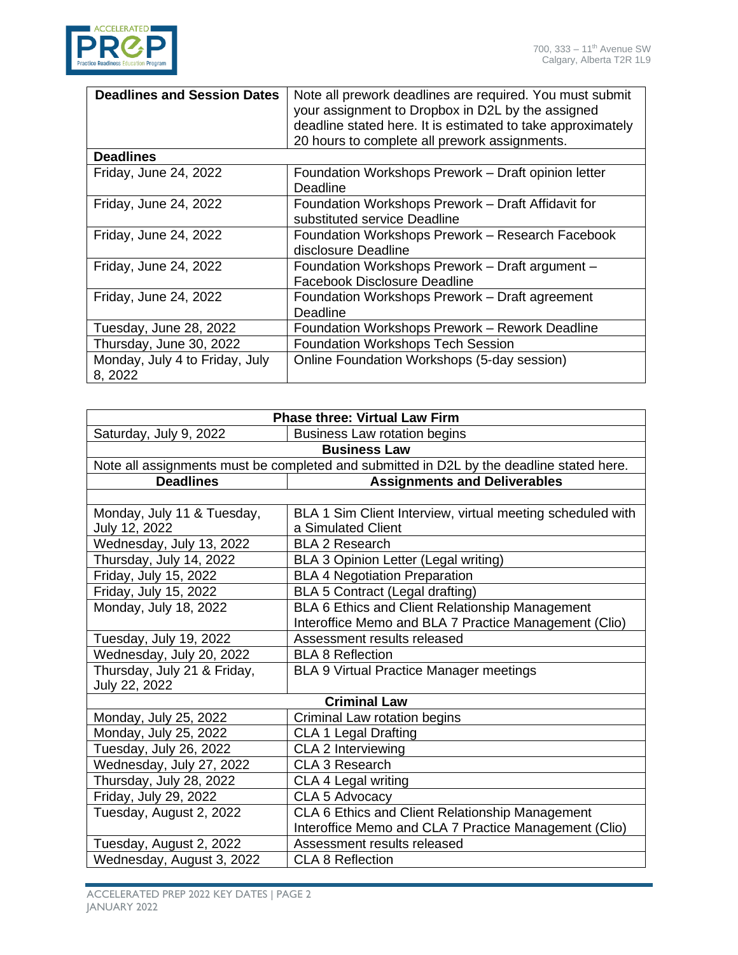

| <b>Deadlines and Session Dates</b>        | Note all prework deadlines are required. You must submit<br>your assignment to Dropbox in D2L by the assigned<br>deadline stated here. It is estimated to take approximately<br>20 hours to complete all prework assignments. |
|-------------------------------------------|-------------------------------------------------------------------------------------------------------------------------------------------------------------------------------------------------------------------------------|
| <b>Deadlines</b>                          |                                                                                                                                                                                                                               |
| Friday, June 24, 2022                     | Foundation Workshops Prework - Draft opinion letter<br>Deadline                                                                                                                                                               |
| Friday, June 24, 2022                     | Foundation Workshops Prework - Draft Affidavit for<br>substituted service Deadline                                                                                                                                            |
| Friday, June 24, 2022                     | Foundation Workshops Prework - Research Facebook<br>disclosure Deadline                                                                                                                                                       |
| Friday, June 24, 2022                     | Foundation Workshops Prework - Draft argument -<br><b>Facebook Disclosure Deadline</b>                                                                                                                                        |
| Friday, June 24, 2022                     | Foundation Workshops Prework - Draft agreement<br>Deadline                                                                                                                                                                    |
| Tuesday, June 28, 2022                    | Foundation Workshops Prework - Rework Deadline                                                                                                                                                                                |
| Thursday, June 30, 2022                   | <b>Foundation Workshops Tech Session</b>                                                                                                                                                                                      |
| Monday, July 4 to Friday, July<br>8, 2022 | Online Foundation Workshops (5-day session)                                                                                                                                                                                   |

| <b>Phase three: Virtual Law Firm</b>                                                     |                                                            |  |
|------------------------------------------------------------------------------------------|------------------------------------------------------------|--|
| Saturday, July 9, 2022                                                                   | <b>Business Law rotation begins</b>                        |  |
| <b>Business Law</b>                                                                      |                                                            |  |
| Note all assignments must be completed and submitted in D2L by the deadline stated here. |                                                            |  |
| <b>Deadlines</b>                                                                         | <b>Assignments and Deliverables</b>                        |  |
|                                                                                          |                                                            |  |
| Monday, July 11 & Tuesday,                                                               | BLA 1 Sim Client Interview, virtual meeting scheduled with |  |
| July 12, 2022                                                                            | a Simulated Client                                         |  |
| Wednesday, July 13, 2022                                                                 | <b>BLA 2 Research</b>                                      |  |
| Thursday, July 14, 2022                                                                  | <b>BLA 3 Opinion Letter (Legal writing)</b>                |  |
| Friday, July 15, 2022                                                                    | <b>BLA 4 Negotiation Preparation</b>                       |  |
| Friday, July 15, 2022                                                                    | BLA 5 Contract (Legal drafting)                            |  |
| Monday, July 18, 2022                                                                    | BLA 6 Ethics and Client Relationship Management            |  |
|                                                                                          | Interoffice Memo and BLA 7 Practice Management (Clio)      |  |
| Tuesday, July 19, 2022                                                                   | Assessment results released                                |  |
| Wednesday, July 20, 2022                                                                 | <b>BLA 8 Reflection</b>                                    |  |
| Thursday, July 21 & Friday,                                                              | <b>BLA 9 Virtual Practice Manager meetings</b>             |  |
| July 22, 2022                                                                            |                                                            |  |
| <b>Criminal Law</b>                                                                      |                                                            |  |
| Monday, July 25, 2022                                                                    | Criminal Law rotation begins                               |  |
| Monday, July 25, 2022                                                                    | <b>CLA 1 Legal Drafting</b>                                |  |
| Tuesday, July 26, 2022                                                                   | CLA 2 Interviewing                                         |  |
| Wednesday, July 27, 2022                                                                 | <b>CLA 3 Research</b>                                      |  |
| Thursday, July 28, 2022                                                                  | CLA 4 Legal writing                                        |  |
| Friday, July 29, 2022                                                                    | CLA 5 Advocacy                                             |  |
| Tuesday, August 2, 2022                                                                  | CLA 6 Ethics and Client Relationship Management            |  |
|                                                                                          | Interoffice Memo and CLA 7 Practice Management (Clio)      |  |
| Tuesday, August 2, 2022                                                                  | Assessment results released                                |  |
| Wednesday, August 3, 2022                                                                | <b>CLA 8 Reflection</b>                                    |  |